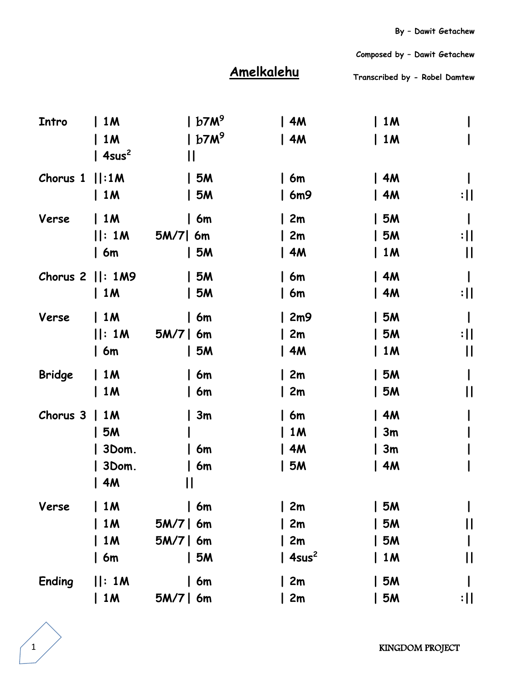## **Amelkalehu**

**Transcribed by - Robel Damtew** 

 **Composed by – Dawit Getachew**

| Intro         | 1 <sub>M</sub>     | b7M <sup>9</sup> | $\mid$ 4M         | 1M             |                 |
|---------------|--------------------|------------------|-------------------|----------------|-----------------|
|               | <b>1M</b>          | $b7M^9$          | $\vert$ 4M        | 1M             |                 |
|               | $ 4sus^2$          | Ш                |                   |                |                 |
| Chorus 1      | :1M                | 5M               | 6m                | 4M             |                 |
|               | 1M                 | 5M               | 6m9               | 4M             | :               |
| Verse         | 1M                 | 6m               | 2m                | 5M             |                 |
|               | : 1M               | $5M/7$ 6m        | 2m                | <b>5M</b>      | $: \mathsf{II}$ |
|               | $\vert$ 6m         | 5M               | 4M                | 1M             | $\mathsf{II}$   |
|               | Chorus $2$   : 1M9 | 5M               | 6m                | 4M             |                 |
|               | 1M                 | 5M               | 6m                | 4M             | :               |
| Verse         | 1M                 | 6m               | 2m9               | 5M             |                 |
|               | : 1M               | $5M/7$   6m      | 2m                | <b>5M</b>      | :               |
|               | 6m                 | 5M               | 4M                | 1M             | $\mathsf{II}$   |
| <b>Bridge</b> | 1M                 | 6m               | $\sqrt{2m}$       | <b>5M</b>      |                 |
|               | $\vert$ 1M         | 6m               | 2m                | 5M             | $\mathsf{I}$    |
| Chorus 3      | <b>1M</b>          | 3m               | 6m                | 4M             |                 |
|               | <b>5M</b>          |                  | 1 <sub>M</sub>    | 3m             |                 |
|               | 3Dom.              | 6m               | 4M                | 3m             |                 |
|               | 3Dom.              | 6m               | 5M                | 4M             |                 |
|               | 4M                 | П                |                   |                |                 |
| Verse         | 1 M                | 6m               | 2m                | 5M             |                 |
|               | <b>1M</b>          | $5M/7$   6m      | 2m                | 5M             | $\mathsf{I}$    |
|               | <b>1M</b>          | $5M/7$   6m      | 2m                | 5M             |                 |
|               | 6m                 | 5M               | 4sus <sup>2</sup> | 1 <sub>M</sub> | $\mathsf{I}$    |
| <b>Ending</b> | : 1M               | 6m               | 2m                | 5M             |                 |
|               | 1M                 | $5M/7$   6m      | 2m                | 5M             | :               |
|               |                    |                  |                   |                |                 |